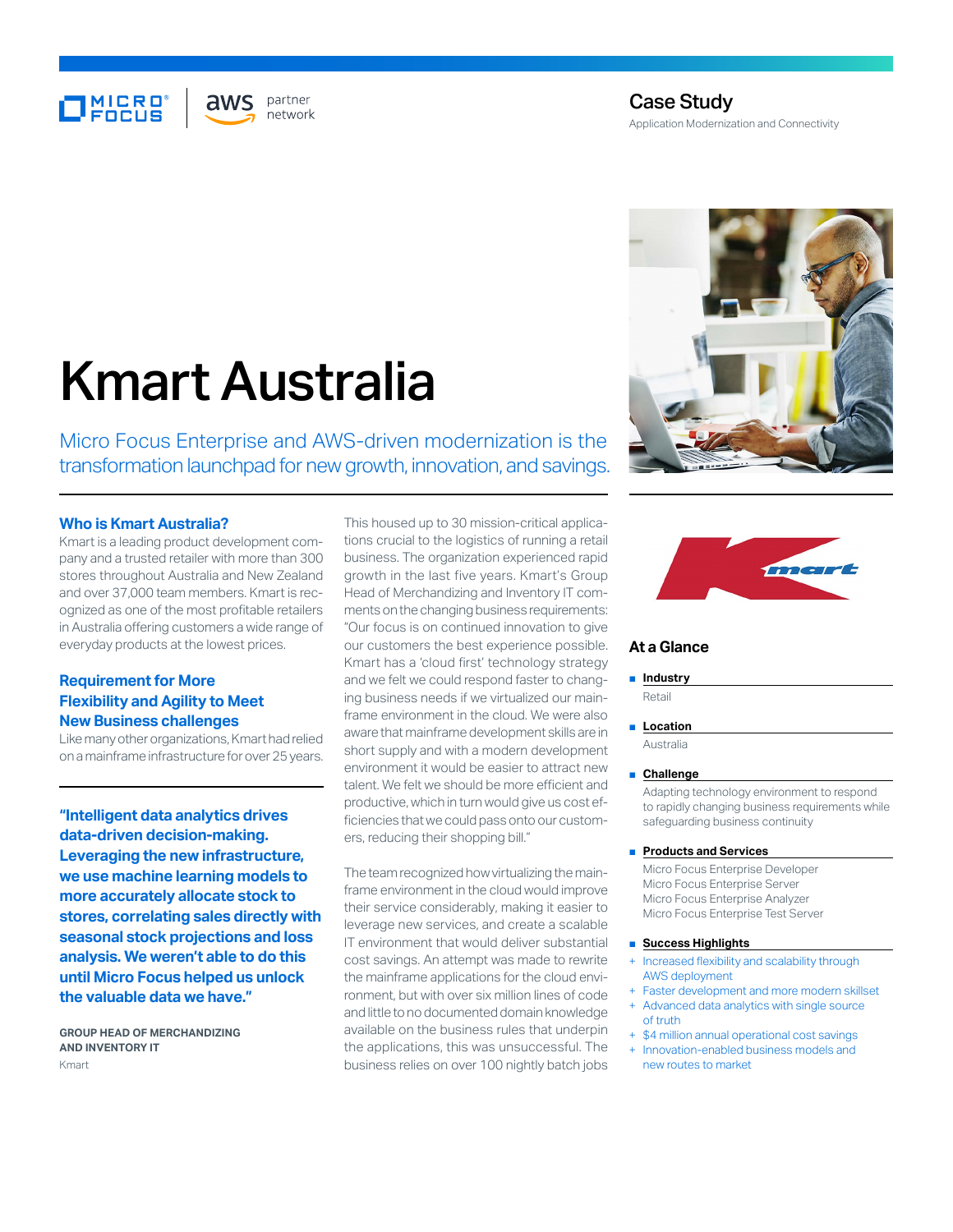# **MICRO**<br>FOCUS

partner aws network

# Case Study Application Modernization and Connectivity

# Kmart Australia

Micro Focus Enterprise and AWS-driven modernization is the transformation launchpad for new growth, innovation, and savings.

#### **Who is Kmart Australia?**

Kmart is a leading product development company and a trusted retailer with more than 300 stores throughout Australia and New Zealand and over 37,000 team members. Kmart is recognized as one of the most profitable retailers in Australia offering customers a wide range of everyday products at the lowest prices.

## **Requirement for More Flexibility and Agility to Meet New Business challenges**

Like many other organizations, Kmart had relied on a mainframe infrastructure for over 25 years.

**"Intelligent data analytics drives data-driven decision-making. Leveraging the new infrastructure, we use machine learning models to more accurately allocate stock to stores, correlating sales directly with seasonal stock projections and loss analysis. We weren't able to do this until Micro Focus helped us unlock the valuable data we have."**

**GROUP HEAD OF MERCHANDIZING AND INVENTORY IT**  Kmart

This housed up to 30 mission-critical applications crucial to the logistics of running a retail business. The organization experienced rapid growth in the last five years. Kmart's Group Head of Merchandizing and Inventory IT comments on the changing business requirements: "Our focus is on continued innovation to give our customers the best experience possible. Kmart has a 'cloud first' technology strategy and we felt we could respond faster to changing business needs if we virtualized our mainframe environment in the cloud. We were also aware that mainframe development skills are in short supply and with a modern development environment it would be easier to attract new talent. We felt we should be more efficient and productive, which in turn would give us cost efficiencies that we could pass onto our customers, reducing their shopping bill."

The team recognized how virtualizing the mainframe environment in the cloud would improve their service considerably, making it easier to leverage new services, and create a scalable IT environment that would deliver substantial cost savings. An attempt was made to rewrite the mainframe applications for the cloud environment, but with over six million lines of code and little to no documented domain knowledge available on the business rules that underpin the applications, this was unsuccessful. The business relies on over 100 nightly batch jobs





#### **At a Glance**

#### ■ **Industry**

Retail

#### ■ **Location**

Australia

#### ■ **Challenge**

Adapting technology environment to respond to rapidly changing business requirements while safeguarding business continuity

#### ■ **Products and Services**

Micro Focus Enterprise Developer Micro Focus Enterprise Server Micro Focus Enterprise Analyzer Micro Focus Enterprise Test Server

#### ■ **Success Highlights**

- Increased flexibility and scalability through AWS deployment
- Faster development and more modern skillset
- Advanced data analytics with single source of truth
- \$4 million annual operational cost savings Innovation-enabled business models and
- new routes to market